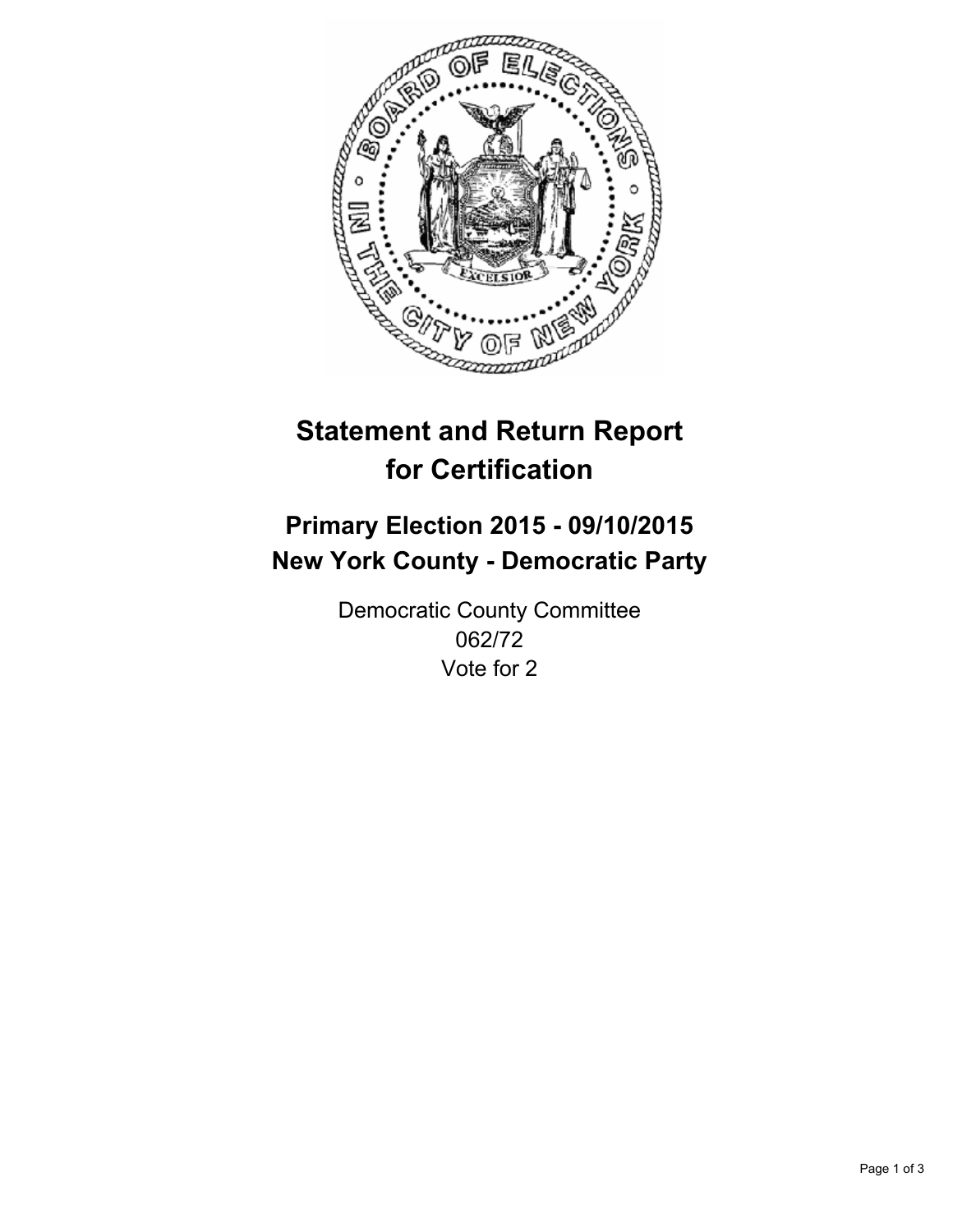

# **Statement and Return Report for Certification**

## **Primary Election 2015 - 09/10/2015 New York County - Democratic Party**

Democratic County Committee 062/72 Vote for 2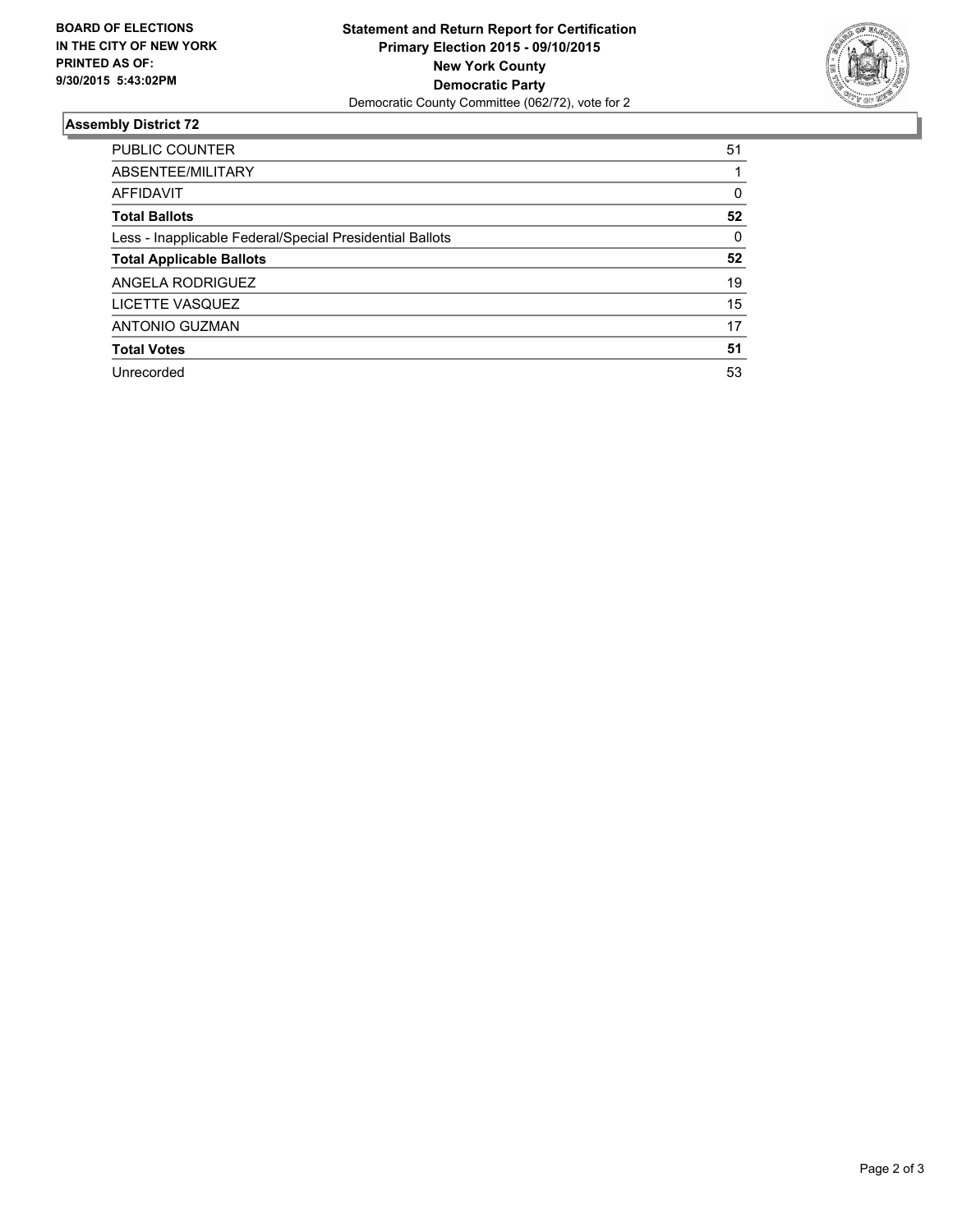

#### **Assembly District 72**

| <b>PUBLIC COUNTER</b>                                    | 51 |
|----------------------------------------------------------|----|
| ABSENTEE/MILITARY                                        |    |
| <b>AFFIDAVIT</b>                                         | 0  |
| <b>Total Ballots</b>                                     | 52 |
| Less - Inapplicable Federal/Special Presidential Ballots | 0  |
| <b>Total Applicable Ballots</b>                          | 52 |
| ANGELA RODRIGUEZ                                         | 19 |
| LICETTE VASQUEZ                                          | 15 |
| ANTONIO GUZMAN                                           | 17 |
| <b>Total Votes</b>                                       | 51 |
| Unrecorded                                               | 53 |